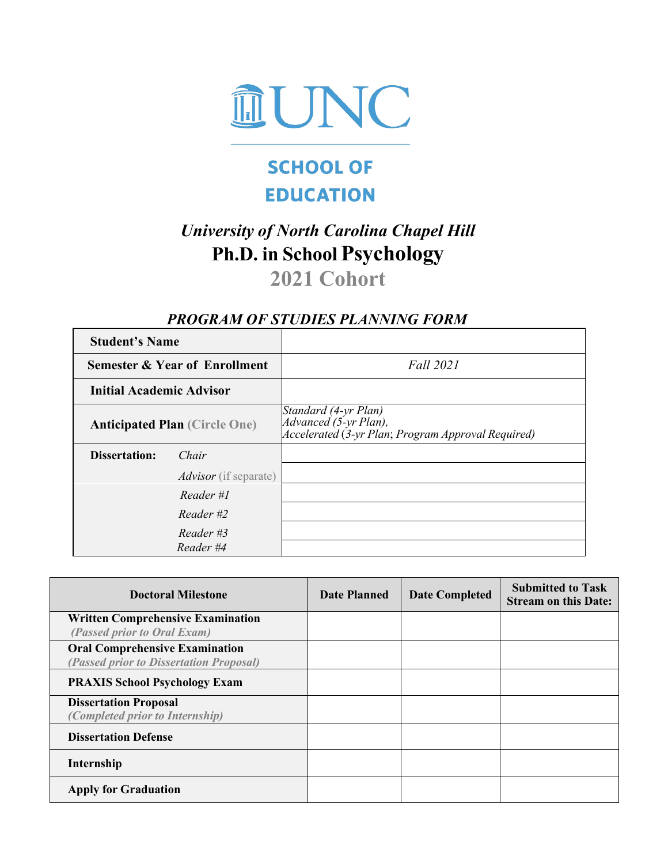

# **SCHOOL OF EDUCATION**

# *University of North Carolina Chapel Hill* **Ph.D. in School Psychology**

# **2021 Cohort**

ī

## *PROGRAM OF STUDIES PLANNING FORM*

| <b>Student's Name</b>                |                                          |                                                                                                     |
|--------------------------------------|------------------------------------------|-----------------------------------------------------------------------------------------------------|
|                                      | <b>Semester &amp; Year of Enrollment</b> | Fall 2021                                                                                           |
| <b>Initial Academic Advisor</b>      |                                          |                                                                                                     |
| <b>Anticipated Plan (Circle One)</b> |                                          | Standard (4-yr Plan)<br>Advanced (5-yr Plan),<br>Accelerated (3-yr Plan; Program Approval Required) |
| <b>Dissertation:</b><br>Chair        |                                          |                                                                                                     |
|                                      | <i>Advisor</i> (if separate)             |                                                                                                     |
|                                      | Reader #1                                |                                                                                                     |
|                                      | $Reader$ #2                              |                                                                                                     |
|                                      | Reader #3                                |                                                                                                     |
|                                      | Reader #4                                |                                                                                                     |

| <b>Doctoral Milestone</b>                                                        | Date Planned | <b>Date Completed</b> | <b>Submitted to Task</b><br><b>Stream on this Date:</b> |
|----------------------------------------------------------------------------------|--------------|-----------------------|---------------------------------------------------------|
| <b>Written Comprehensive Examination</b><br>(Passed prior to Oral Exam)          |              |                       |                                                         |
| <b>Oral Comprehensive Examination</b><br>(Passed prior to Dissertation Proposal) |              |                       |                                                         |
| <b>PRAXIS School Psychology Exam</b>                                             |              |                       |                                                         |
| <b>Dissertation Proposal</b><br>(Completed prior to Internship)                  |              |                       |                                                         |
| <b>Dissertation Defense</b>                                                      |              |                       |                                                         |
| Internship                                                                       |              |                       |                                                         |
| <b>Apply for Graduation</b>                                                      |              |                       |                                                         |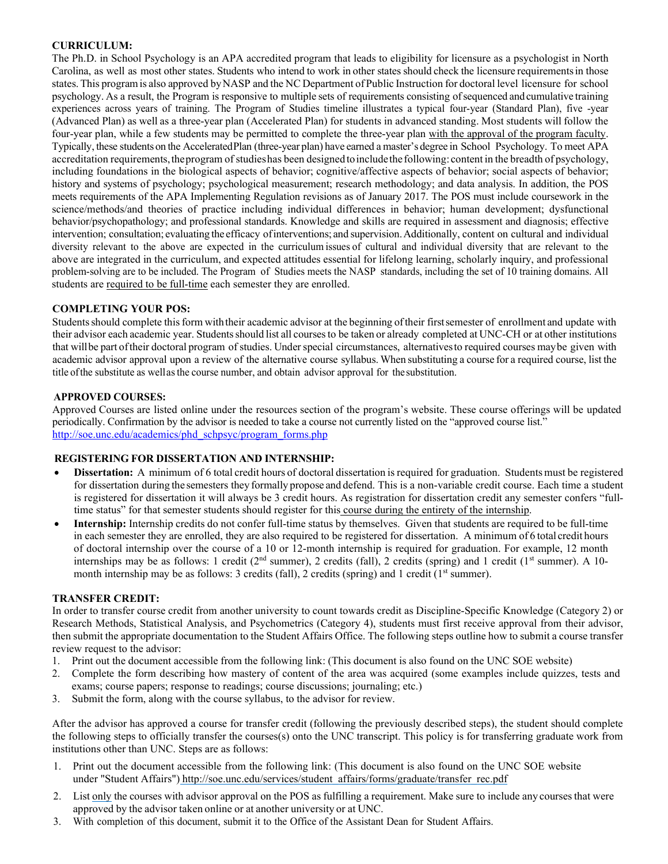#### **CURRICULUM:**

The Ph.D. in School Psychology is an APA accredited program that leads to eligibility for licensure as a psychologist in North Carolina, as well as most other states. Students who intend to work in other states should check the licensure requirementsin those states. This programis also approved byNASP and the NC Department of Public Instruction for doctoral level licensure for school psychology. As a result, the Program is responsive to multiple sets of requirements consisting ofsequenced andcumulative training experiences across years of training. The Program of Studies timeline illustrates a typical four-year (Standard Plan), five -year (Advanced Plan) as well as a three-year plan (Accelerated Plan) for students in advanced standing. Most students will follow the four-year plan, while a few students may be permitted to complete the three-year plan with the approval of the program faculty. Typically, these students on the AcceleratedPlan (three-year plan) have earned a master's degree in School Psychology. To meet APA accreditation requirements, the program of studies has been designed to include the following: content in the breadth of psychology, including foundations in the biological aspects of behavior; cognitive/affective aspects of behavior; social aspects of behavior; history and systems of psychology; psychological measurement; research methodology; and data analysis. In addition, the POS meets requirements of the APA Implementing Regulation revisions as of January 2017. The POS must include coursework in the science/methods/and theories of practice including individual differences in behavior; human development; dysfunctional behavior/psychopathology; and professional standards. Knowledge and skills are required in assessment and diagnosis; effective intervention; consultation; evaluating the efficacy ofinterventions; and supervision.Additionally, content on cultural and individual diversity relevant to the above are expected in the curriculum issues of cultural and individual diversity that are relevant to the above are integrated in the curriculum, and expected attitudes essential for lifelong learning, scholarly inquiry, and professional problem-solving are to be included. The Program of Studies meets the NASP standards, including the set of 10 training domains. All students are required to be full-time each semester they are enrolled.

#### **COMPLETING YOUR POS:**

Studentsshould complete thisform withtheir academic advisor at the beginning oftheir firstsemester of enrollment and update with their advisor each academic year. Studentsshould list all coursesto be taken or already completed at UNC-CH or at other institutions that will be part of their doctoral program of studies. Under special circumstances, alternatives to required courses may be given with academic advisor approval upon a review of the alternative course syllabus. When substituting a course for a required course, list the title ofthe substitute as wellasthe course number, and obtain advisor approval for the substitution.

#### **APPROVED COURSES:**

Approved Courses are listed online under the resources section of the program's website. These course offerings will be updated periodically. Confirmation by the advisor is needed to take a course not currently listed on the "approved course list." [http://soe.unc.edu/academics/phd\\_schpsyc/program\\_forms.php](http://soe.unc.edu/academics/phd_schpsyc/program_forms.php)

#### **REGISTERING FOR DISSERTATION AND INTERNSHIP:**

- **Dissertation:** A minimum of 6 total credit hours of doctoral dissertation is required for graduation. Students must be registered for dissertation during the semesters they formally propose and defend. This is a non-variable credit course. Each time a student is registered for dissertation it will always be 3 credit hours. As registration for dissertation credit any semester confers "fulltime status" for that semester students should register for this course during the entirety of the internship.
- **Internship:** Internship credits do not confer full-time status by themselves. Given that students are required to be full-time in each semester they are enrolled, they are also required to be registered for dissertation. A minimum of 6 total credit hours of doctoral internship over the course of a 10 or 12-month internship is required for graduation. For example, 12 month internships may be as follows: 1 credit ( $2<sup>nd</sup>$  summer), 2 credits (fall), 2 credits (spring) and 1 credit ( $1<sup>st</sup>$  summer). A 10month internship may be as follows: 3 credits (fall), 2 credits (spring) and 1 credit ( $1<sup>st</sup>$  summer).

#### **TRANSFER CREDIT:**

In order to transfer course credit from another university to count towards credit as Discipline-Specific Knowledge (Category 2) or Research Methods, Statistical Analysis, and Psychometrics (Category 4), students must first receive approval from their advisor, then submit the appropriate documentation to the Student Affairs Office. The following steps outline how to submit a course transfer review request to the advisor:

- 1. Print out the document accessible from the following link: (This document is also found on the UNC SOE website)
- 2. Complete the form describing how mastery of content of the area was acquired (some examples include quizzes, tests and exams; course papers; response to readings; course discussions; journaling; etc.)
- 3. Submit the form, along with the course syllabus, to the advisor for review.

After the advisor has approved a course for transfer credit (following the previously described steps), the student should complete the following steps to officially transfer the courses(s) onto the UNC transcript. This policy is for transferring graduate work from institutions other than UNC. Steps are as follows:

- 1. Print out the document accessible from the following link: (This document is also found on the UNC SOE website under "Student Affairs") [http://soe.unc.edu/services/student\\_affairs/forms/graduate/transfer\\_rec.pdf](http://soe.unc.edu/services/student_affairs/forms/graduate/transfer_rec.pdf)
- 2. List only the courses with advisor approval on the POS as fulfilling a requirement. Make sure to include any courses that were approved by the advisor taken online or at another university or at UNC.
- 3. With completion of this document, submit it to the Office of the Assistant Dean for Student Affairs.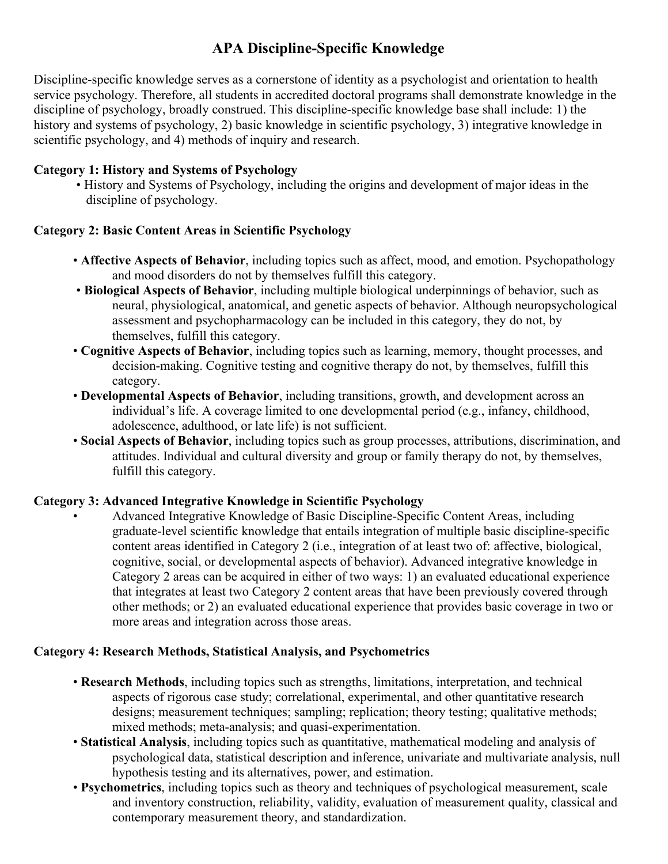## **APA Discipline-Specific Knowledge**

Discipline-specific knowledge serves as a cornerstone of identity as a psychologist and orientation to health service psychology. Therefore, all students in accredited doctoral programs shall demonstrate knowledge in the discipline of psychology, broadly construed. This discipline-specific knowledge base shall include: 1) the history and systems of psychology, 2) basic knowledge in scientific psychology, 3) integrative knowledge in scientific psychology, and 4) methods of inquiry and research.

### **Category 1: History and Systems of Psychology**

• History and Systems of Psychology, including the origins and development of major ideas in the discipline of psychology.

### **Category 2: Basic Content Areas in Scientific Psychology**

- **Affective Aspects of Behavior**, including topics such as affect, mood, and emotion. Psychopathology and mood disorders do not by themselves fulfill this category.
- **Biological Aspects of Behavior**, including multiple biological underpinnings of behavior, such as neural, physiological, anatomical, and genetic aspects of behavior. Although neuropsychological assessment and psychopharmacology can be included in this category, they do not, by themselves, fulfill this category.
- **Cognitive Aspects of Behavior**, including topics such as learning, memory, thought processes, and decision-making. Cognitive testing and cognitive therapy do not, by themselves, fulfill this category.
- **Developmental Aspects of Behavior**, including transitions, growth, and development across an individual's life. A coverage limited to one developmental period (e.g., infancy, childhood, adolescence, adulthood, or late life) is not sufficient.
- **Social Aspects of Behavior**, including topics such as group processes, attributions, discrimination, and attitudes. Individual and cultural diversity and group or family therapy do not, by themselves, fulfill this category.

### **Category 3: Advanced Integrative Knowledge in Scientific Psychology**

• Advanced Integrative Knowledge of Basic Discipline-Specific Content Areas, including graduate-level scientific knowledge that entails integration of multiple basic discipline-specific content areas identified in Category 2 (i.e., integration of at least two of: affective, biological, cognitive, social, or developmental aspects of behavior). Advanced integrative knowledge in Category 2 areas can be acquired in either of two ways: 1) an evaluated educational experience that integrates at least two Category 2 content areas that have been previously covered through other methods; or 2) an evaluated educational experience that provides basic coverage in two or more areas and integration across those areas.

### **Category 4: Research Methods, Statistical Analysis, and Psychometrics**

- **Research Methods**, including topics such as strengths, limitations, interpretation, and technical aspects of rigorous case study; correlational, experimental, and other quantitative research designs; measurement techniques; sampling; replication; theory testing; qualitative methods; mixed methods; meta-analysis; and quasi-experimentation.
- **Statistical Analysis**, including topics such as quantitative, mathematical modeling and analysis of psychological data, statistical description and inference, univariate and multivariate analysis, null hypothesis testing and its alternatives, power, and estimation.
- **Psychometrics**, including topics such as theory and techniques of psychological measurement, scale and inventory construction, reliability, validity, evaluation of measurement quality, classical and contemporary measurement theory, and standardization.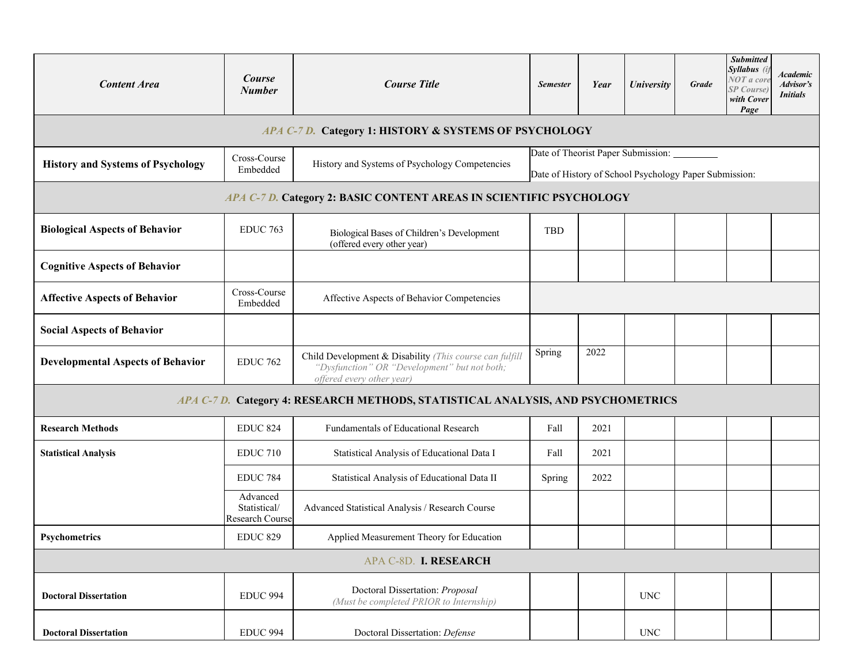| <b>Content Area</b>                                         | <b>Course</b><br><b>Number</b> | <b>Course Title</b>                                                                                                                  | <b>Semester</b>                                                                              | Year | <b>University</b>         | Grade | <b>Submitted</b><br>Syllabus (<br>NOT a core<br>SP Course)<br>with Cover<br>Page | <b>Academic</b><br>Advisor's<br><i>Initials</i> |  |  |  |
|-------------------------------------------------------------|--------------------------------|--------------------------------------------------------------------------------------------------------------------------------------|----------------------------------------------------------------------------------------------|------|---------------------------|-------|----------------------------------------------------------------------------------|-------------------------------------------------|--|--|--|
| APA C-7 D. Category 1: HISTORY & SYSTEMS OF PSYCHOLOGY      |                                |                                                                                                                                      |                                                                                              |      |                           |       |                                                                                  |                                                 |  |  |  |
| <b>History and Systems of Psychology</b>                    | Cross-Course<br>Embedded       | History and Systems of Psychology Competencies                                                                                       | Date of Theorist Paper Submission:<br>Date of History of School Psychology Paper Submission: |      |                           |       |                                                                                  |                                                 |  |  |  |
|                                                             |                                | APA C-7 D. Category 2: BASIC CONTENT AREAS IN SCIENTIFIC PSYCHOLOGY                                                                  |                                                                                              |      |                           |       |                                                                                  |                                                 |  |  |  |
| <b>Biological Aspects of Behavior</b>                       | <b>EDUC</b> 763                | Biological Bases of Children's Development<br>(offered every other year)                                                             | TBD                                                                                          |      |                           |       |                                                                                  |                                                 |  |  |  |
| <b>Cognitive Aspects of Behavior</b>                        |                                |                                                                                                                                      |                                                                                              |      |                           |       |                                                                                  |                                                 |  |  |  |
| <b>Affective Aspects of Behavior</b>                        | Cross-Course<br>Embedded       | Affective Aspects of Behavior Competencies                                                                                           |                                                                                              |      |                           |       |                                                                                  |                                                 |  |  |  |
| <b>Social Aspects of Behavior</b>                           |                                |                                                                                                                                      |                                                                                              |      |                           |       |                                                                                  |                                                 |  |  |  |
| <b>EDUC 762</b><br><b>Developmental Aspects of Behavior</b> |                                | Child Development & Disability (This course can fulfill<br>"Dysfunction" OR "Development" but not both;<br>offered every other year) | Spring                                                                                       | 2022 |                           |       |                                                                                  |                                                 |  |  |  |
|                                                             |                                | APA C-7 D. Category 4: RESEARCH METHODS, STATISTICAL ANALYSIS, AND PSYCHOMETRICS                                                     |                                                                                              |      |                           |       |                                                                                  |                                                 |  |  |  |
| <b>Research Methods</b>                                     | <b>EDUC 824</b>                | Fundamentals of Educational Research                                                                                                 | Fall                                                                                         | 2021 |                           |       |                                                                                  |                                                 |  |  |  |
| <b>Statistical Analysis</b>                                 | EDUC <sub>710</sub>            | Statistical Analysis of Educational Data I                                                                                           | Fall                                                                                         | 2021 |                           |       |                                                                                  |                                                 |  |  |  |
|                                                             | <b>EDUC 784</b>                | Statistical Analysis of Educational Data II                                                                                          | Spring                                                                                       | 2022 |                           |       |                                                                                  |                                                 |  |  |  |
| Advanced<br>Statistical/<br>Research Course                 |                                | Advanced Statistical Analysis / Research Course                                                                                      |                                                                                              |      |                           |       |                                                                                  |                                                 |  |  |  |
| Psychometrics                                               | <b>EDUC 829</b>                | Applied Measurement Theory for Education                                                                                             |                                                                                              |      |                           |       |                                                                                  |                                                 |  |  |  |
|                                                             |                                | APA C-8D. I. RESEARCH                                                                                                                |                                                                                              |      |                           |       |                                                                                  |                                                 |  |  |  |
| <b>Doctoral Dissertation</b>                                | <b>EDUC 994</b>                | Doctoral Dissertation: Proposal<br>(Must be completed PRIOR to Internship)                                                           |                                                                                              |      | <b>UNC</b>                |       |                                                                                  |                                                 |  |  |  |
| <b>Doctoral Dissertation</b>                                | <b>EDUC 994</b>                | Doctoral Dissertation: Defense                                                                                                       |                                                                                              |      | $\ensuremath{\text{UNC}}$ |       |                                                                                  |                                                 |  |  |  |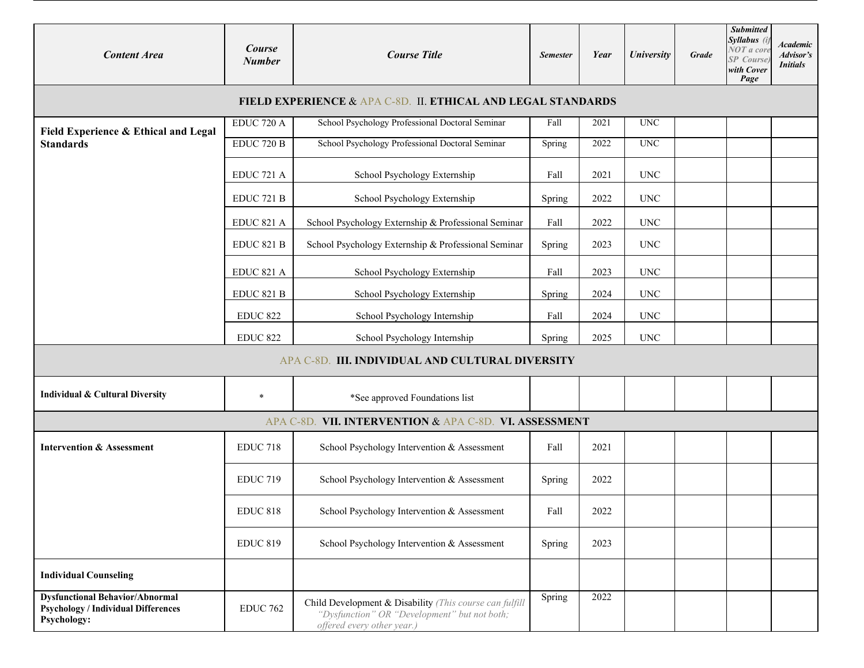| <b>Content Area</b>                                                                                 | Course<br><b>Number</b> | <b>Course Title</b>                                                                                                                   |        | Year | University                | Grade | <b>Submitted</b><br>Syllabus (i<br>NOT a core<br><b>SP</b> Course<br>with Cover<br>Page | <b>Academic</b><br>Advisor's<br><b>Initials</b> |  |  |  |
|-----------------------------------------------------------------------------------------------------|-------------------------|---------------------------------------------------------------------------------------------------------------------------------------|--------|------|---------------------------|-------|-----------------------------------------------------------------------------------------|-------------------------------------------------|--|--|--|
| FIELD EXPERIENCE & APA C-8D. II. ETHICAL AND LEGAL STANDARDS                                        |                         |                                                                                                                                       |        |      |                           |       |                                                                                         |                                                 |  |  |  |
| Field Experience & Ethical and Legal                                                                | EDUC 720 A              | School Psychology Professional Doctoral Seminar                                                                                       | Fall   | 2021 | $\ensuremath{\text{UNC}}$ |       |                                                                                         |                                                 |  |  |  |
| <b>Standards</b>                                                                                    | EDUC <sub>720</sub> B   | School Psychology Professional Doctoral Seminar                                                                                       | Spring | 2022 | $\ensuremath{\text{UNC}}$ |       |                                                                                         |                                                 |  |  |  |
|                                                                                                     | EDUC <sub>721</sub> A   | School Psychology Externship                                                                                                          | Fall   | 2021 | <b>UNC</b>                |       |                                                                                         |                                                 |  |  |  |
|                                                                                                     | EDUC <sub>721</sub> B   | School Psychology Externship                                                                                                          |        | 2022 | <b>UNC</b>                |       |                                                                                         |                                                 |  |  |  |
|                                                                                                     | EDUC 821 A              | School Psychology Externship & Professional Seminar                                                                                   | Fall   | 2022 | $\ensuremath{\text{UNC}}$ |       |                                                                                         |                                                 |  |  |  |
|                                                                                                     | <b>EDUC 821 B</b>       | School Psychology Externship & Professional Seminar                                                                                   | Spring | 2023 | <b>UNC</b>                |       |                                                                                         |                                                 |  |  |  |
|                                                                                                     | EDUC 821 A              | School Psychology Externship                                                                                                          | Fall   | 2023 | $\ensuremath{\text{UNC}}$ |       |                                                                                         |                                                 |  |  |  |
| EDUC 821 B                                                                                          |                         | School Psychology Externship                                                                                                          | Spring | 2024 | <b>UNC</b>                |       |                                                                                         |                                                 |  |  |  |
|                                                                                                     | <b>EDUC 822</b>         | School Psychology Internship                                                                                                          | Fall   | 2024 | $\ensuremath{\text{UNC}}$ |       |                                                                                         |                                                 |  |  |  |
|                                                                                                     | <b>EDUC 822</b>         | School Psychology Internship                                                                                                          | Spring | 2025 | <b>UNC</b>                |       |                                                                                         |                                                 |  |  |  |
|                                                                                                     |                         | APA C-8D. III. INDIVIDUAL AND CULTURAL DIVERSITY                                                                                      |        |      |                           |       |                                                                                         |                                                 |  |  |  |
| <b>Individual &amp; Cultural Diversity</b>                                                          | $\star$                 | *See approved Foundations list                                                                                                        |        |      |                           |       |                                                                                         |                                                 |  |  |  |
|                                                                                                     |                         | APA C-8D. VII. INTERVENTION & APA C-8D. VI. ASSESSMENT                                                                                |        |      |                           |       |                                                                                         |                                                 |  |  |  |
| <b>Intervention &amp; Assessment</b>                                                                | <b>EDUC 718</b>         | School Psychology Intervention & Assessment                                                                                           | Fall   | 2021 |                           |       |                                                                                         |                                                 |  |  |  |
|                                                                                                     | <b>EDUC 719</b>         | School Psychology Intervention & Assessment                                                                                           | Spring | 2022 |                           |       |                                                                                         |                                                 |  |  |  |
|                                                                                                     | <b>EDUC 818</b>         | School Psychology Intervention & Assessment                                                                                           | Fall   | 2022 |                           |       |                                                                                         |                                                 |  |  |  |
|                                                                                                     | <b>EDUC 819</b>         | School Psychology Intervention & Assessment                                                                                           | Spring | 2023 |                           |       |                                                                                         |                                                 |  |  |  |
| <b>Individual Counseling</b>                                                                        |                         |                                                                                                                                       |        |      |                           |       |                                                                                         |                                                 |  |  |  |
| <b>Dysfunctional Behavior/Abnormal</b><br><b>Psychology / Individual Differences</b><br>Psychology: | <b>EDUC 762</b>         | Child Development & Disability (This course can fulfill<br>"Dysfunction" OR "Development" but not both;<br>offered every other year.) | Spring | 2022 |                           |       |                                                                                         |                                                 |  |  |  |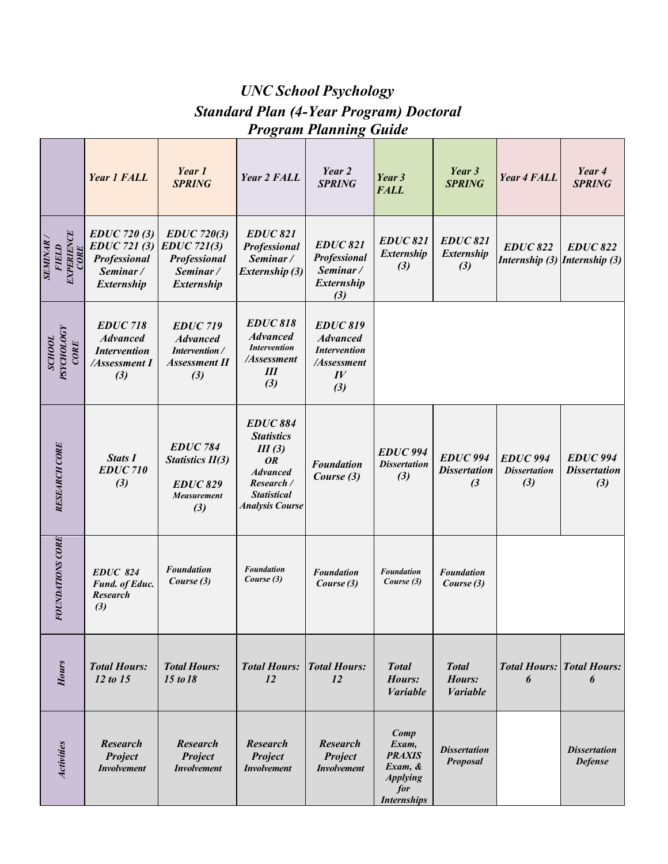# *UNC School Psychology Standard Plan (4-Year Program) Doctoral Program Planning Guide*

|                                                      | <b>Year 1 FALL</b>                                                                    | Year 1<br><b>SPRING</b>                                                                    | Year 2 FALL                                                                                                                                  | Year 2<br><b>SPRING</b>                                                                                 | Year 3<br><b>FALL</b>                                                                        | Year 3<br><b>SPRING</b>                                 | <b>Year 4 FALL</b>                            | Year 4<br><b>SPRING</b>                          |
|------------------------------------------------------|---------------------------------------------------------------------------------------|--------------------------------------------------------------------------------------------|----------------------------------------------------------------------------------------------------------------------------------------------|---------------------------------------------------------------------------------------------------------|----------------------------------------------------------------------------------------------|---------------------------------------------------------|-----------------------------------------------|--------------------------------------------------|
| EXPERIENCE<br>CORE<br><b>SEMINAR</b><br><b>FIELD</b> | <b>EDUC</b> 720 (3)<br><b>EDUC</b> 721 (3)<br>Professional<br>Seminar /<br>Externship | $EDUC$ 720(3)<br><b>EDUC</b> 721(3)<br>Professional<br>Seminar/<br><b>Externship</b>       | <b>EDUC 821</b><br>Professional<br>Seminar/<br>Externship (3)                                                                                | <b>EDUC 821</b><br>Professional<br>Seminar/<br>Externship<br>(3)                                        | <b>EDUC 821</b><br><b>Externship</b><br>(3)                                                  | <b>EDUC 821</b><br><i>Externship</i><br>(3)             | <b>EDUC 822</b>                               | <b>EDUC 822</b><br>Internship (3) Internship (3) |
| <b>PSYCHOLOGY</b><br><b>усноот</b><br>CORE           | <b>EDUC 718</b><br><b>Advanced</b><br><b>Intervention</b><br>/Assessment I<br>(3)     | <b>EDUC 719</b><br><b>Advanced</b><br>Intervention /<br><b>Assessment II</b><br>(3)        | <b>EDUC 818</b><br><b>Advanced</b><br><b>Intervention</b><br>/Assessment<br>Ш<br>(3)                                                         | <b>EDUC 819</b><br><b>Advanced</b><br><b>Intervention</b><br>/Assessment<br>$I\hspace{-.1em}V$<br>$(3)$ |                                                                                              |                                                         |                                               |                                                  |
| <b>RESEARCH CORE</b>                                 | <b>Stats I</b><br><b>EDUC710</b><br>(3)                                               | <b>EDUC 784</b><br><b>Statistics II(3)</b><br><b>EDUC 829</b><br><b>Measurement</b><br>(3) | <b>EDUC 884</b><br><b>Statistics</b><br>III(3)<br><b>OR</b><br><b>Advanced</b><br>Research /<br><b>Statistical</b><br><b>Analysis Course</b> | <b>Foundation</b><br>Course (3)                                                                         | <b>EDUC 994</b><br><b>Dissertation</b><br>(3)                                                | <b>EDUC 994</b><br><b>Dissertation</b><br>$\mathcal{L}$ | <b>EDUC 994</b><br><b>Dissertation</b><br>(3) | <b>EDUC</b> 994<br><b>Dissertation</b><br>(3)    |
| FOUNDATIONS CORE                                     | <b>EDUC 824</b><br>Fund. of Educ.<br><b>Research</b><br>(3)                           | <b>Foundation</b><br>Course (3)                                                            | <b>Foundation</b><br>Course (3)                                                                                                              | <b>Foundation</b><br>Course (3)                                                                         | <b>Foundation</b><br>Course (3)                                                              | <b>Foundation</b><br>Course (3)                         |                                               |                                                  |
| <b>Hours</b>                                         | <b>Total Hours:</b><br>12 to 15                                                       | <b>Total Hours:</b><br>15 to 18                                                            | <b>Total Hours:</b><br>12                                                                                                                    | <b>Total Hours:</b><br>12                                                                               | <b>Total</b><br>Hours:<br><b><i>Variable</i></b>                                             | <b>Total</b><br>Hours:<br><b>Variable</b>               | 6                                             | <b>Total Hours: Total Hours:</b><br>6            |
| Activities                                           | <b>Research</b><br>Project<br><b>Involvement</b>                                      | <b>Research</b><br>Project<br><b>Involvement</b>                                           | <b>Research</b><br>Project<br><b>Involvement</b>                                                                                             | <b>Research</b><br>Project<br><b>Involvement</b>                                                        | Comp<br>Exam,<br><b>PRAXIS</b><br>$Exam, \&$<br><b>Applying</b><br>for<br><b>Internships</b> | <b>Dissertation</b><br><b>Proposal</b>                  |                                               | <b>Dissertation</b><br><b>Defense</b>            |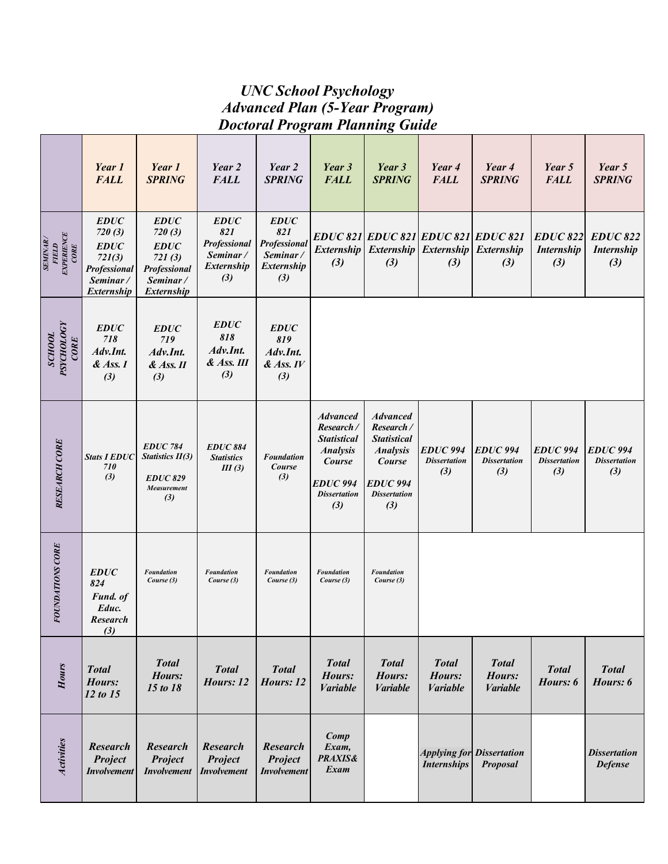### *UNC School Psychology Advanced Plan (5-Year Program) Doctoral Program Planning Guide*

|                                                | Year 1<br><b>FALL</b>                                                                    | Year 1<br><b>SPRING</b>                                                                  | Year 2<br><b>FALL</b>                                                 | Year 2<br><b>SPRING</b>                                             | Year 3<br><b>FALL</b>                                                                                                            | Year 3<br><b>SPRING</b>                                                                                                            | Year 4<br><b>FALL</b>                                               | Year 4<br><b>SPRING</b>                             | Year 5<br><b>FALL</b>                           | Year 5<br><b>SPRING</b>                       |
|------------------------------------------------|------------------------------------------------------------------------------------------|------------------------------------------------------------------------------------------|-----------------------------------------------------------------------|---------------------------------------------------------------------|----------------------------------------------------------------------------------------------------------------------------------|------------------------------------------------------------------------------------------------------------------------------------|---------------------------------------------------------------------|-----------------------------------------------------|-------------------------------------------------|-----------------------------------------------|
| FIELD<br>EXPERIENCE<br>CORE<br><b>SEMINAR/</b> | <b>EDUC</b><br>720(3)<br><b>EDUC</b><br>721(3)<br>Professional<br>Seminar/<br>Externship | <b>EDUC</b><br>720(3)<br><b>EDUC</b><br>721(3)<br>Professional<br>Seminar/<br>Externship | EDUC<br>821<br><b>Professional</b><br>Seminar/<br>Externship<br>$(3)$ | <b>EDUC</b><br>821<br>Professional<br>Seminar/<br>Externship<br>(3) | <b>Externship</b><br>(3)                                                                                                         | (3)                                                                                                                                | EDUC 821 EDUC 821 EDUC 821 EDUC 821<br>Externship Externship<br>(3) | Externship<br>(3)                                   | <b>EDUC 822</b><br><b>Internship</b><br>(3)     | <b>EDUC 822</b><br><b>Internship</b><br>(3)   |
| PSYCHOLOGY<br><b>ZOHOOT</b><br><b>CORE</b>     | <b>EDUC</b><br>718<br>Adv.Int.<br>$&$ Ass. I<br>$(3)$                                    | <b>EDUC</b><br>719<br>Adv.Int.<br>$&$ Ass. $II$<br>$(3)$                                 | EDUC<br>818<br>Adv.Int.<br>& Ass. III<br>(3)                          | <b>EDUC</b><br>819<br>Adv.Int.<br>$&$ Ass. IV<br>$(3)$              |                                                                                                                                  |                                                                                                                                    |                                                                     |                                                     |                                                 |                                               |
| <b>RESEARCH CORE</b>                           | <b>Stats I EDUC</b><br>710<br>(3)                                                        | <b>EDUC 784</b><br>Statistics $II(3)$<br><b>EDUC 829</b><br>Measurement<br>(3)           | <b>EDUC 884</b><br><b>Statistics</b><br>III(3)                        | <b>Foundation</b><br>Course<br>(3)                                  | <b>Advanced</b><br>Research/<br><b>Statistical</b><br><b>Analysis</b><br>Course<br><b>EDUC 994</b><br><b>Dissertation</b><br>(3) | <b>Advanced</b><br>Research/<br><b>Statistical</b><br><b>Analysis</b><br>Course<br><b>EDUC 994</b><br><b>Dissertation</b><br>$(3)$ | <b>EDUC</b> 994<br><b>Dissertation</b><br>(3)                       | <b>EDUC</b> 994<br><b>Dissertation</b><br>(3)       | <b>EDUC</b> 994<br><b>Dissertation</b><br>$(3)$ | <b>EDUC 994</b><br><b>Dissertation</b><br>(3) |
| <b>FOUNDATIONS CORE</b>                        | <b>EDUC</b><br>824<br>Fund. of<br>Educ.<br><b>Research</b><br>(3)                        | <b>Foundation</b><br>Course (3)                                                          | <b>Foundation</b><br>Course (3)                                       | <b>Foundation</b><br>Course (3)                                     | <b>Foundation</b><br>Course (3)                                                                                                  | <b>Foundation</b><br>Course (3)                                                                                                    |                                                                     |                                                     |                                                 |                                               |
| Hours                                          | <b>Total</b><br>Hours:<br>12 to 15                                                       | <b>Total</b><br>Hours:<br>15 to 18                                                       | <b>Total</b><br>Hours: 12                                             | <b>Total</b><br>Hours: 12                                           | <b>Total</b><br>Hours:<br><b><i>Variable</i></b>                                                                                 | <b>Total</b><br>Hours:<br><b>Variable</b>                                                                                          | <b>Total</b><br>Hours:<br><b>Variable</b>                           | <b>Total</b><br>Hours:<br><b>Variable</b>           | <b>Total</b><br>Hours: 6                        | <b>Total</b><br>Hours: 6                      |
| <b>Activities</b>                              | <b>Research</b><br>Project<br><b>Involvement</b>                                         | <b>Research</b><br>Project<br><b>Involvement</b>                                         | <b>Research</b><br>Project<br><i>Involvement</i>                      | <b>Research</b><br>Project<br><b>Involvement</b>                    | Comp<br>Exam,<br><b>PRAXIS&amp;</b><br>Exam                                                                                      |                                                                                                                                    | <b>Internships</b>                                                  | <b>Applying for Dissertation</b><br><b>Proposal</b> |                                                 | <b>Dissertation</b><br><b>Defense</b>         |